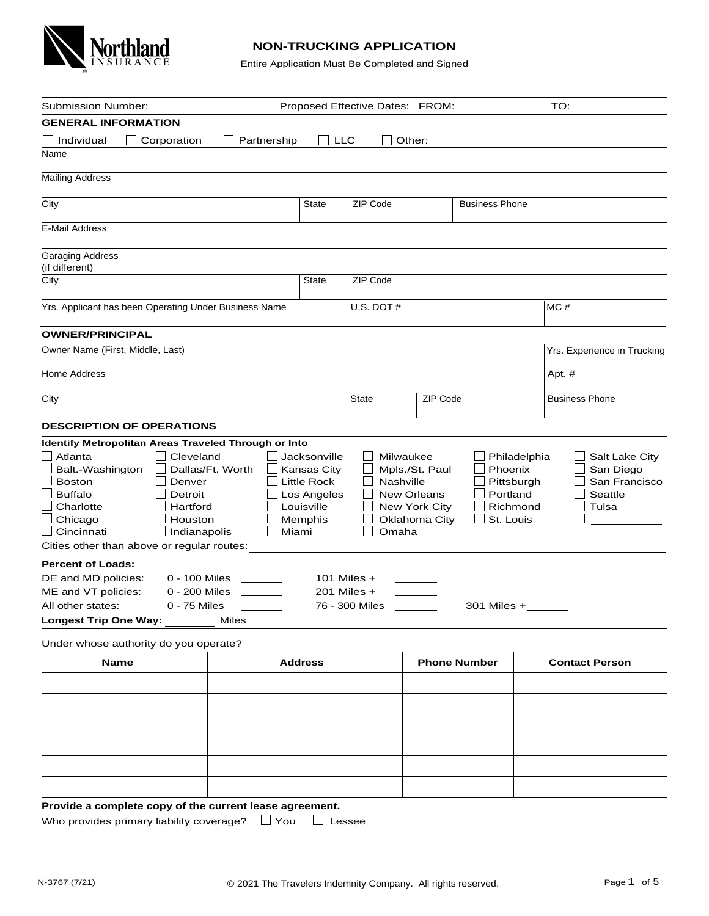

## **NON-TRUCKING APPLICATION**

Entire Application Must Be Completed and Signed

| <b>Submission Number:</b>                                                                                                                                                                                                                           |                                                                                    | Proposed Effective Dates: FROM: |                                                                        | TO:                                                                                                          |
|-----------------------------------------------------------------------------------------------------------------------------------------------------------------------------------------------------------------------------------------------------|------------------------------------------------------------------------------------|---------------------------------|------------------------------------------------------------------------|--------------------------------------------------------------------------------------------------------------|
| <b>GENERAL INFORMATION</b>                                                                                                                                                                                                                          |                                                                                    |                                 |                                                                        |                                                                                                              |
| Individual<br>Corporation                                                                                                                                                                                                                           | Partnership                                                                        | <b>LLC</b>                      | Other:                                                                 |                                                                                                              |
| Name                                                                                                                                                                                                                                                |                                                                                    |                                 |                                                                        |                                                                                                              |
| <b>Mailing Address</b>                                                                                                                                                                                                                              |                                                                                    |                                 |                                                                        |                                                                                                              |
| City                                                                                                                                                                                                                                                | <b>State</b>                                                                       | ZIP Code                        | <b>Business Phone</b>                                                  |                                                                                                              |
|                                                                                                                                                                                                                                                     |                                                                                    |                                 |                                                                        |                                                                                                              |
| <b>E-Mail Address</b>                                                                                                                                                                                                                               |                                                                                    |                                 |                                                                        |                                                                                                              |
| <b>Garaging Address</b><br>(if different)                                                                                                                                                                                                           |                                                                                    |                                 |                                                                        |                                                                                                              |
| City                                                                                                                                                                                                                                                | <b>State</b>                                                                       | ZIP Code                        |                                                                        |                                                                                                              |
| Yrs. Applicant has been Operating Under Business Name                                                                                                                                                                                               |                                                                                    | U.S. DOT $#$                    |                                                                        | MC#                                                                                                          |
| <b>OWNER/PRINCIPAL</b>                                                                                                                                                                                                                              |                                                                                    |                                 |                                                                        |                                                                                                              |
| Owner Name (First, Middle, Last)                                                                                                                                                                                                                    |                                                                                    |                                 |                                                                        | Yrs. Experience in Trucking                                                                                  |
| Home Address                                                                                                                                                                                                                                        |                                                                                    |                                 |                                                                        | Apt. #                                                                                                       |
| City                                                                                                                                                                                                                                                |                                                                                    | <b>State</b>                    | ZIP Code                                                               | <b>Business Phone</b>                                                                                        |
| <b>DESCRIPTION OF OPERATIONS</b>                                                                                                                                                                                                                    |                                                                                    |                                 |                                                                        |                                                                                                              |
| Balt.-Washington<br>Dallas/Ft. Worth<br><b>Boston</b><br>Denver<br><b>Buffalo</b><br>Detroit<br>Charlotte<br>Hartford<br>Chicago<br>Houston<br>Indianapolis<br>Cincinnati<br>Cities other than above or regular routes:<br><b>Percent of Loads:</b> | Kansas City<br><b>Little Rock</b><br>Los Angeles<br>Louisville<br>Memphis<br>Miami | Nashville<br>Omaha              | Mpls./St. Paul<br><b>New Orleans</b><br>New York City<br>Oklahoma City | Phoenix<br>San Diego<br>Pittsburgh<br>San Francisco<br>Portland<br>Seattle<br>Richmond<br>Tulsa<br>St. Louis |
| DE and MD policies:<br>0 - 100 Miles                                                                                                                                                                                                                |                                                                                    | 101 Miles $+$                   |                                                                        |                                                                                                              |
| ME and VT policies:<br>0 - 200 Miles                                                                                                                                                                                                                |                                                                                    | 201 Miles $+$                   |                                                                        |                                                                                                              |
| All other states:<br>$0 - 75$ Miles                                                                                                                                                                                                                 |                                                                                    | 76 - 300 Miles                  | 301 Miles +                                                            |                                                                                                              |
| <b>Longest Trip One Way:</b><br>Miles                                                                                                                                                                                                               |                                                                                    |                                 |                                                                        |                                                                                                              |
| Under whose authority do you operate?                                                                                                                                                                                                               |                                                                                    |                                 |                                                                        |                                                                                                              |
| <b>Name</b>                                                                                                                                                                                                                                         | <b>Address</b>                                                                     |                                 | <b>Phone Number</b>                                                    | <b>Contact Person</b>                                                                                        |
|                                                                                                                                                                                                                                                     |                                                                                    |                                 |                                                                        |                                                                                                              |
| Provide a complete copy of the current lease agreement.<br>Who provides primary liability coverage?                                                                                                                                                 | $\Box$ You                                                                         | Lessee                          |                                                                        |                                                                                                              |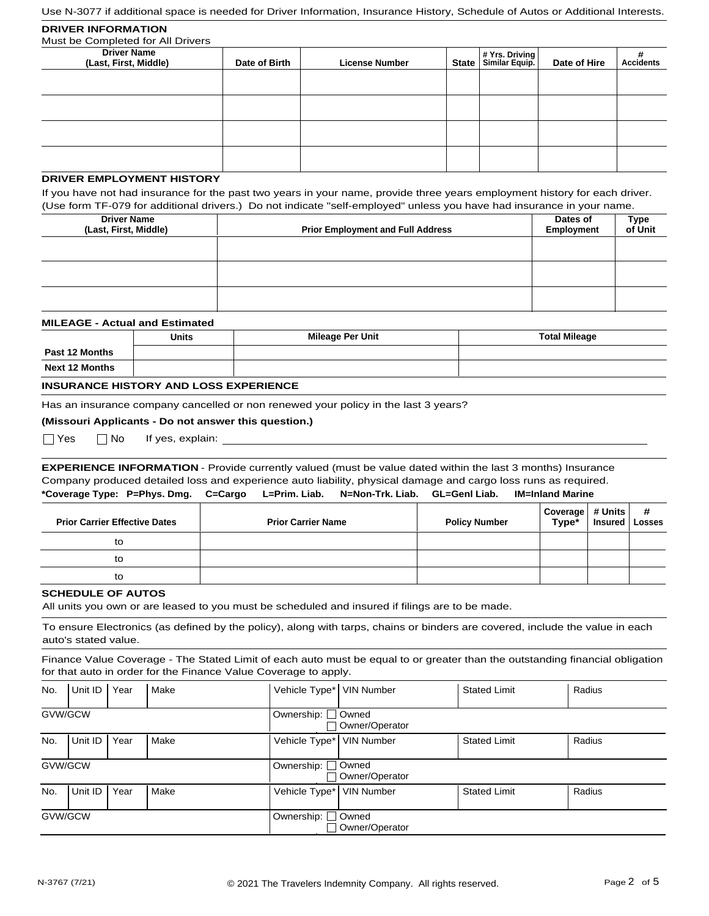Use N-3077 if additional space is needed for Driver Information, Insurance History, Schedule of Autos or Additional Interests.

| <b>DRIVER INFORMATION</b><br>Must be Completed for All Drivers |               |                       |                                            |              |                       |
|----------------------------------------------------------------|---------------|-----------------------|--------------------------------------------|--------------|-----------------------|
| <b>Driver Name</b><br>(Last, First, Middle)                    | Date of Birth | <b>License Number</b> | # Yrs. Driving<br>  State   Similar Equip. | Date of Hire | #<br><b>Accidents</b> |
|                                                                |               |                       |                                            |              |                       |
|                                                                |               |                       |                                            |              |                       |
|                                                                |               |                       |                                            |              |                       |
|                                                                |               |                       |                                            |              |                       |

## **DRIVER EMPLOYMENT HISTORY**

If you have not had insurance for the past two years in your name, provide three years employment history for each driver. (Use form TF-079 for additional drivers.) Do not indicate "self-employed" unless you have had insurance in your name.

| <b>Driver Name</b><br>(Last, First, Middle) | <b>Prior Employment and Full Address</b> | Dates of<br>Employment | Type<br>of Unit |
|---------------------------------------------|------------------------------------------|------------------------|-----------------|
|                                             |                                          |                        |                 |
|                                             |                                          |                        |                 |
|                                             |                                          |                        |                 |

| <b>MILEAGE - Actual and Estimated</b> |              |                         |                      |  |  |  |  |  |
|---------------------------------------|--------------|-------------------------|----------------------|--|--|--|--|--|
|                                       | <b>Units</b> | <b>Mileage Per Unit</b> | <b>Total Mileage</b> |  |  |  |  |  |
| <b>Past 12 Months</b>                 |              |                         |                      |  |  |  |  |  |
| <b>Next 12 Months</b>                 |              |                         |                      |  |  |  |  |  |
|                                       |              |                         |                      |  |  |  |  |  |

### **INSURANCE HISTORY AND LOSS EXPERIENCE**

Has an insurance company cancelled or non renewed your policy in the last 3 years?

#### **(Missouri Applicants - Do not answer this question.)**

 $\Box$  Yes  $\Box$  No

If yes, explain:

**\*Coverage Type: P=Phys. Dmg. C=Cargo L=Prim. Liab. N=Non-Trk. Liab. GL=Genl Liab. IM=Inland Marine EXPERIENCE INFORMATION** - Provide currently valued (must be value dated within the last 3 months) Insurance Company produced detailed loss and experience auto liability, physical damage and cargo loss runs as required.

| <b>Prior Carrier Effective Dates</b> | <b>Prior Carrier Name</b> | <b>Policy Number</b> | Coverage # Units #<br>Type* Insured Losses |  |
|--------------------------------------|---------------------------|----------------------|--------------------------------------------|--|
| to                                   |                           |                      |                                            |  |
| to                                   |                           |                      |                                            |  |
| to                                   |                           |                      |                                            |  |

#### **SCHEDULE OF AUTOS**

All units you own or are leased to you must be scheduled and insured if filings are to be made.

To ensure Electronics (as defined by the policy), along with tarps, chains or binders are covered, include the value in each auto's stated value.

Finance Value Coverage - The Stated Limit of each auto must be equal to or greater than the outstanding financial obligation for that auto in order for the Finance Value Coverage to apply.

| No.     | Unit ID | Year | Make | Vehicle Type* VIN Number |                           | <b>Stated Limit</b> | Radius |
|---------|---------|------|------|--------------------------|---------------------------|---------------------|--------|
| GVW/GCW |         |      |      | Ownership:               | Owned<br>Owner/Operator   |                     |        |
| No.     | Unit ID | Year | Make | Vehicle Type*            | <b>VIN Number</b>         | <b>Stated Limit</b> | Radius |
| GVW/GCW |         |      |      | Ownership: [             | owned<br>Owner/Operator   |                     |        |
| No.     | Unit ID | Year | Make | Vehicle Type*            | <b>VIN Number</b>         | <b>Stated Limit</b> | Radius |
| GVW/GCW |         |      |      | Ownership: [             | ∟ Owned<br>Owner/Operator |                     |        |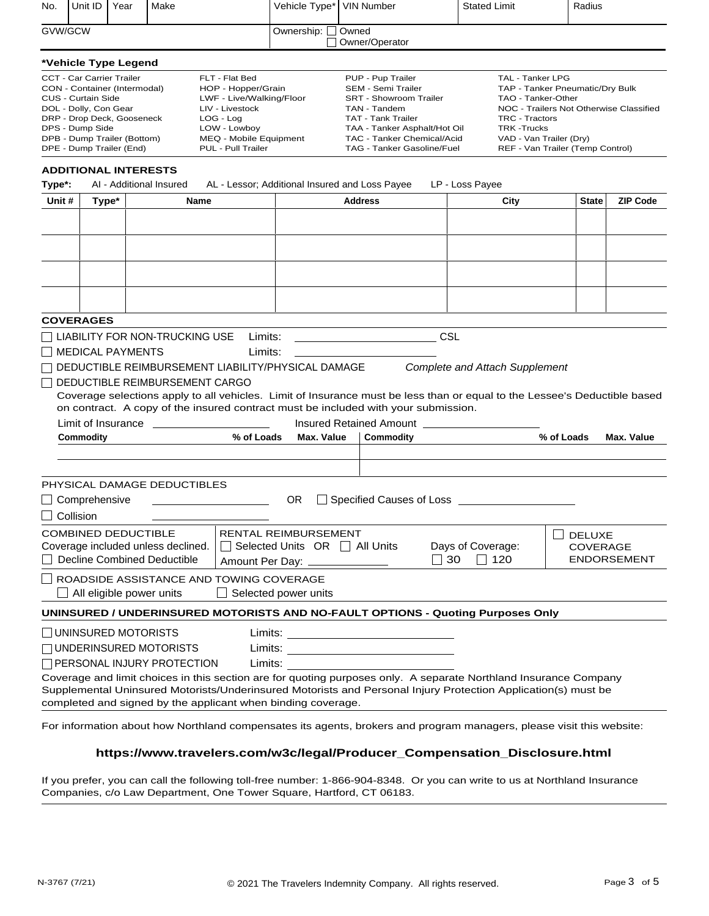| No.              | Unit ID                                                                                                                                                                                                                            | Year  | Make                               |                                                                                                                                                                  | Vehicle Type*                   | <b>VIN Number</b>                                                                                                                                                                                                        |     | <b>Stated Limit</b>                        |                                                                                                                                                                                     | Radius        |                    |
|------------------|------------------------------------------------------------------------------------------------------------------------------------------------------------------------------------------------------------------------------------|-------|------------------------------------|------------------------------------------------------------------------------------------------------------------------------------------------------------------|---------------------------------|--------------------------------------------------------------------------------------------------------------------------------------------------------------------------------------------------------------------------|-----|--------------------------------------------|-------------------------------------------------------------------------------------------------------------------------------------------------------------------------------------|---------------|--------------------|
| GVW/GCW          |                                                                                                                                                                                                                                    |       |                                    |                                                                                                                                                                  | Ownership: [                    | Owned<br>Owner/Operator                                                                                                                                                                                                  |     |                                            |                                                                                                                                                                                     |               |                    |
|                  | *Vehicle Type Legend                                                                                                                                                                                                               |       |                                    |                                                                                                                                                                  |                                 |                                                                                                                                                                                                                          |     |                                            |                                                                                                                                                                                     |               |                    |
|                  | <b>CCT - Car Carrier Trailer</b><br>CON - Container (Intermodal)<br><b>CUS - Curtain Side</b><br>DOL - Dolly, Con Gear<br>DRP - Drop Deck, Gooseneck<br>DPS - Dump Side<br>DPB - Dump Trailer (Bottom)<br>DPE - Dump Trailer (End) |       |                                    | FLT - Flat Bed<br>HOP - Hopper/Grain<br>LWF - Live/Walking/Floor<br>LIV - Livestock<br>LOG - Log<br>LOW - Lowboy<br>MEQ - Mobile Equipment<br>PUL - Pull Trailer |                                 | PUP - Pup Trailer<br><b>SEM - Semi Trailer</b><br><b>SRT - Showroom Trailer</b><br>TAN - Tandem<br><b>TAT - Tank Trailer</b><br>TAA - Tanker Asphalt/Hot Oil<br>TAC - Tanker Chemical/Acid<br>TAG - Tanker Gasoline/Fuel |     | <b>TRC - Tractors</b><br><b>TRK-Trucks</b> | TAL - Tanker LPG<br>TAP - Tanker Pneumatic/Dry Bulk<br>TAO - Tanker-Other<br>NOC - Trailers Not Otherwise Classified<br>VAD - Van Trailer (Dry)<br>REF - Van Trailer (Temp Control) |               |                    |
|                  |                                                                                                                                                                                                                                    |       | <b>ADDITIONAL INTERESTS</b>        |                                                                                                                                                                  |                                 |                                                                                                                                                                                                                          |     |                                            |                                                                                                                                                                                     |               |                    |
| Type*:<br>Unit # |                                                                                                                                                                                                                                    |       | AI - Additional Insured            |                                                                                                                                                                  |                                 | AL - Lessor; Additional Insured and Loss Payee<br><b>Address</b>                                                                                                                                                         |     | LP - Loss Payee                            |                                                                                                                                                                                     | <b>State</b>  | <b>ZIP Code</b>    |
|                  |                                                                                                                                                                                                                                    | Type* |                                    | <b>Name</b>                                                                                                                                                      |                                 |                                                                                                                                                                                                                          |     | City                                       |                                                                                                                                                                                     |               |                    |
|                  |                                                                                                                                                                                                                                    |       |                                    |                                                                                                                                                                  |                                 |                                                                                                                                                                                                                          |     |                                            |                                                                                                                                                                                     |               |                    |
|                  |                                                                                                                                                                                                                                    |       |                                    |                                                                                                                                                                  |                                 |                                                                                                                                                                                                                          |     |                                            |                                                                                                                                                                                     |               |                    |
|                  |                                                                                                                                                                                                                                    |       |                                    |                                                                                                                                                                  |                                 |                                                                                                                                                                                                                          |     |                                            |                                                                                                                                                                                     |               |                    |
|                  |                                                                                                                                                                                                                                    |       |                                    |                                                                                                                                                                  |                                 |                                                                                                                                                                                                                          |     |                                            |                                                                                                                                                                                     |               |                    |
|                  |                                                                                                                                                                                                                                    |       |                                    |                                                                                                                                                                  |                                 |                                                                                                                                                                                                                          |     |                                            |                                                                                                                                                                                     |               |                    |
|                  |                                                                                                                                                                                                                                    |       |                                    |                                                                                                                                                                  |                                 |                                                                                                                                                                                                                          |     |                                            |                                                                                                                                                                                     |               |                    |
|                  | <b>COVERAGES</b>                                                                                                                                                                                                                   |       |                                    |                                                                                                                                                                  |                                 |                                                                                                                                                                                                                          |     |                                            |                                                                                                                                                                                     |               |                    |
|                  |                                                                                                                                                                                                                                    |       | LIABILITY FOR NON-TRUCKING USE     | Limits:                                                                                                                                                          |                                 |                                                                                                                                                                                                                          | CSL |                                            |                                                                                                                                                                                     |               |                    |
|                  | <b>I IMEDICAL PAYMENTS</b>                                                                                                                                                                                                         |       |                                    |                                                                                                                                                                  |                                 |                                                                                                                                                                                                                          |     |                                            |                                                                                                                                                                                     |               |                    |
|                  |                                                                                                                                                                                                                                    |       |                                    | Limits:                                                                                                                                                          |                                 |                                                                                                                                                                                                                          |     |                                            |                                                                                                                                                                                     |               |                    |
|                  |                                                                                                                                                                                                                                    |       |                                    | DEDUCTIBLE REIMBURSEMENT LIABILITY/PHYSICAL DAMAGE<br><b>T DEDUCTIBLE REIMBURSEMENT CARGO</b>                                                                    |                                 |                                                                                                                                                                                                                          |     | <b>Complete and Attach Supplement</b>      |                                                                                                                                                                                     |               |                    |
|                  |                                                                                                                                                                                                                                    |       |                                    |                                                                                                                                                                  |                                 | Coverage selections apply to all vehicles. Limit of Insurance must be less than or equal to the Lessee's Deductible based                                                                                                |     |                                            |                                                                                                                                                                                     |               |                    |
|                  |                                                                                                                                                                                                                                    |       |                                    |                                                                                                                                                                  |                                 | on contract. A copy of the insured contract must be included with your submission.                                                                                                                                       |     |                                            |                                                                                                                                                                                     |               |                    |
|                  | Limit of Insurance                                                                                                                                                                                                                 |       |                                    |                                                                                                                                                                  |                                 | Insured Retained Amount                                                                                                                                                                                                  |     |                                            |                                                                                                                                                                                     |               |                    |
|                  | <b>Commodity</b>                                                                                                                                                                                                                   |       |                                    | % of Loads                                                                                                                                                       | <b>Max. Value</b>               | Commodity                                                                                                                                                                                                                |     |                                            | % of Loads                                                                                                                                                                          |               | Max. Value         |
|                  |                                                                                                                                                                                                                                    |       |                                    |                                                                                                                                                                  |                                 |                                                                                                                                                                                                                          |     |                                            |                                                                                                                                                                                     |               |                    |
|                  |                                                                                                                                                                                                                                    |       |                                    |                                                                                                                                                                  |                                 |                                                                                                                                                                                                                          |     |                                            |                                                                                                                                                                                     |               |                    |
|                  |                                                                                                                                                                                                                                    |       | PHYSICAL DAMAGE DEDUCTIBLES        |                                                                                                                                                                  |                                 |                                                                                                                                                                                                                          |     |                                            |                                                                                                                                                                                     |               |                    |
|                  | $\Box$ Comprehensive                                                                                                                                                                                                               |       |                                    |                                                                                                                                                                  | <b>OR</b>                       | Specified Causes of Loss ______                                                                                                                                                                                          |     |                                            |                                                                                                                                                                                     |               |                    |
|                  | Collision                                                                                                                                                                                                                          |       |                                    |                                                                                                                                                                  |                                 |                                                                                                                                                                                                                          |     |                                            |                                                                                                                                                                                     |               |                    |
|                  | <b>COMBINED DEDUCTIBLE</b>                                                                                                                                                                                                         |       |                                    |                                                                                                                                                                  | RENTAL REIMBURSEMENT            |                                                                                                                                                                                                                          |     |                                            |                                                                                                                                                                                     |               |                    |
|                  |                                                                                                                                                                                                                                    |       | Coverage included unless declined. |                                                                                                                                                                  | Selected Units OR     All Units |                                                                                                                                                                                                                          |     | Days of Coverage:                          |                                                                                                                                                                                     | <b>DELUXE</b> | <b>COVERAGE</b>    |
|                  |                                                                                                                                                                                                                                    |       | <b>Decline Combined Deductible</b> |                                                                                                                                                                  | Amount Per Day: _____________   |                                                                                                                                                                                                                          | 30  | $\Box$ 120                                 |                                                                                                                                                                                     |               | <b>ENDORSEMENT</b> |
|                  |                                                                                                                                                                                                                                    |       |                                    | ROADSIDE ASSISTANCE AND TOWING COVERAGE                                                                                                                          |                                 |                                                                                                                                                                                                                          |     |                                            |                                                                                                                                                                                     |               |                    |
|                  |                                                                                                                                                                                                                                    |       | All eligible power units           |                                                                                                                                                                  | Selected power units            |                                                                                                                                                                                                                          |     |                                            |                                                                                                                                                                                     |               |                    |
|                  |                                                                                                                                                                                                                                    |       |                                    |                                                                                                                                                                  |                                 |                                                                                                                                                                                                                          |     |                                            |                                                                                                                                                                                     |               |                    |
|                  |                                                                                                                                                                                                                                    |       |                                    |                                                                                                                                                                  |                                 | UNINSURED / UNDERINSURED MOTORISTS AND NO-FAULT OPTIONS - Quoting Purposes Only                                                                                                                                          |     |                                            |                                                                                                                                                                                     |               |                    |
|                  |                                                                                                                                                                                                                                    |       | $\Box$ UNINSURED MOTORISTS         |                                                                                                                                                                  |                                 |                                                                                                                                                                                                                          |     |                                            |                                                                                                                                                                                     |               |                    |
|                  |                                                                                                                                                                                                                                    |       | $\Box$ UNDERINSURED MOTORISTS      |                                                                                                                                                                  |                                 |                                                                                                                                                                                                                          |     |                                            |                                                                                                                                                                                     |               |                    |
|                  |                                                                                                                                                                                                                                    |       | $\Box$ PERSONAL INJURY PROTECTION  | Limits:                                                                                                                                                          |                                 |                                                                                                                                                                                                                          |     |                                            |                                                                                                                                                                                     |               |                    |
|                  |                                                                                                                                                                                                                                    |       |                                    |                                                                                                                                                                  |                                 | Coverage and limit choices in this section are for quoting purposes only. A separate Northland Insurance Company                                                                                                         |     |                                            |                                                                                                                                                                                     |               |                    |
|                  |                                                                                                                                                                                                                                    |       |                                    |                                                                                                                                                                  |                                 | Supplemental Uninsured Motorists/Underinsured Motorists and Personal Injury Protection Application(s) must be                                                                                                            |     |                                            |                                                                                                                                                                                     |               |                    |
|                  |                                                                                                                                                                                                                                    |       |                                    | completed and signed by the applicant when binding coverage.                                                                                                     |                                 |                                                                                                                                                                                                                          |     |                                            |                                                                                                                                                                                     |               |                    |
|                  |                                                                                                                                                                                                                                    |       |                                    |                                                                                                                                                                  |                                 | For information about how Northland compensates its agents, brokers and program managers, please visit this website:                                                                                                     |     |                                            |                                                                                                                                                                                     |               |                    |

# **https://www.travelers.com/w3c/legal/Producer\_Compensation\_Disclosure.html**

If you prefer, you can call the following toll-free number: 1-866-904-8348. Or you can write to us at Northland Insurance Companies, c/o Law Department, One Tower Square, Hartford, CT 06183.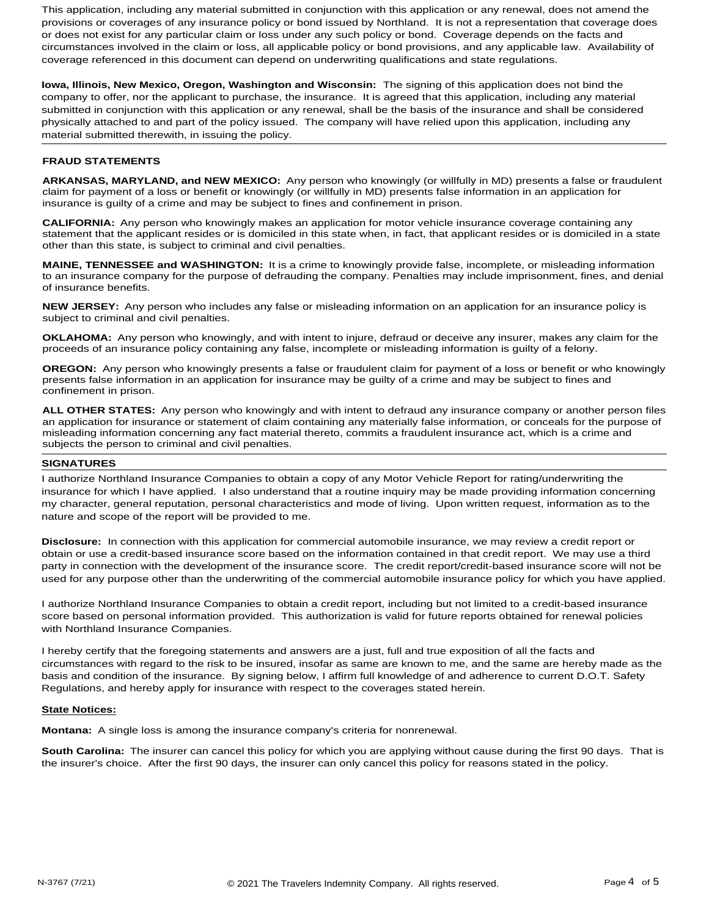This application, including any material submitted in conjunction with this application or any renewal, does not amend the provisions or coverages of any insurance policy or bond issued by Northland. It is not a representation that coverage does or does not exist for any particular claim or loss under any such policy or bond. Coverage depends on the facts and circumstances involved in the claim or loss, all applicable policy or bond provisions, and any applicable law. Availability of coverage referenced in this document can depend on underwriting qualifications and state regulations.

**Iowa, Illinois, New Mexico, Oregon, Washington and Wisconsin:** The signing of this application does not bind the company to offer, nor the applicant to purchase, the insurance. It is agreed that this application, including any material submitted in conjunction with this application or any renewal, shall be the basis of the insurance and shall be considered physically attached to and part of the policy issued. The company will have relied upon this application, including any material submitted therewith, in issuing the policy.

#### **FRAUD STATEMENTS**

**ARKANSAS, MARYLAND, and NEW MEXICO:** Any person who knowingly (or willfully in MD) presents a false or fraudulent claim for payment of a loss or benefit or knowingly (or willfully in MD) presents false information in an application for insurance is guilty of a crime and may be subject to fines and confinement in prison.

**CALIFORNIA:** Any person who knowingly makes an application for motor vehicle insurance coverage containing any statement that the applicant resides or is domiciled in this state when, in fact, that applicant resides or is domiciled in a state other than this state, is subject to criminal and civil penalties.

**MAINE, TENNESSEE and WASHINGTON:** It is a crime to knowingly provide false, incomplete, or misleading information to an insurance company for the purpose of defrauding the company. Penalties may include imprisonment, fines, and denial of insurance benefits.

**NEW JERSEY:** Any person who includes any false or misleading information on an application for an insurance policy is subject to criminal and civil penalties.

**OKLAHOMA:** Any person who knowingly, and with intent to injure, defraud or deceive any insurer, makes any claim for the proceeds of an insurance policy containing any false, incomplete or misleading information is guilty of a felony.

**OREGON:** Any person who knowingly presents a false or fraudulent claim for payment of a loss or benefit or who knowingly presents false information in an application for insurance may be guilty of a crime and may be subject to fines and confinement in prison.

**ALL OTHER STATES:** Any person who knowingly and with intent to defraud any insurance company or another person files an application for insurance or statement of claim containing any materially false information, or conceals for the purpose of misleading information concerning any fact material thereto, commits a fraudulent insurance act, which is a crime and subjects the person to criminal and civil penalties.

#### **SIGNATURES**

I authorize Northland Insurance Companies to obtain a copy of any Motor Vehicle Report for rating/underwriting the insurance for which I have applied. I also understand that a routine inquiry may be made providing information concerning my character, general reputation, personal characteristics and mode of living. Upon written request, information as to the nature and scope of the report will be provided to me.

**Disclosure:** In connection with this application for commercial automobile insurance, we may review a credit report or obtain or use a credit-based insurance score based on the information contained in that credit report. We may use a third party in connection with the development of the insurance score. The credit report/credit-based insurance score will not be used for any purpose other than the underwriting of the commercial automobile insurance policy for which you have applied.

I authorize Northland Insurance Companies to obtain a credit report, including but not limited to a credit-based insurance score based on personal information provided. This authorization is valid for future reports obtained for renewal policies with Northland Insurance Companies.

I hereby certify that the foregoing statements and answers are a just, full and true exposition of all the facts and circumstances with regard to the risk to be insured, insofar as same are known to me, and the same are hereby made as the basis and condition of the insurance. By signing below, I affirm full knowledge of and adherence to current D.O.T. Safety Regulations, and hereby apply for insurance with respect to the coverages stated herein.

#### **State Notices:**

**Montana:** A single loss is among the insurance company's criteria for nonrenewal.

**South Carolina:** The insurer can cancel this policy for which you are applying without cause during the first 90 days. That is the insurer's choice. After the first 90 days, the insurer can only cancel this policy for reasons stated in the policy.